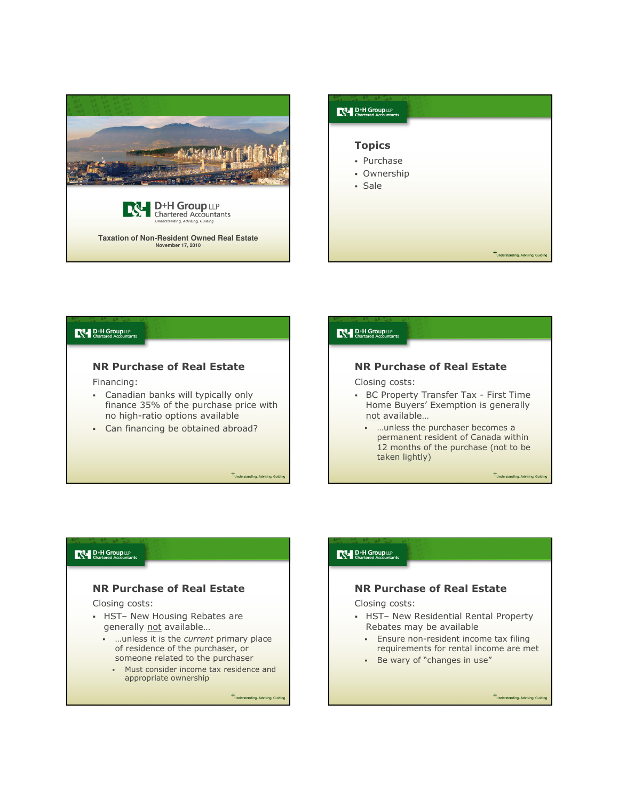





# NR Purchase of Real Estate

Closing costs:

- HST– New Housing Rebates are generally not available...
	- … unless it is the current primary place of residence of the purchaser, or someone related to the purchaser
		- Must consider income tax residence and appropriate ownership

+<br>Understanding, Advising, Gui

### $\mathbb{R}$  D<sup>+H</sup> Group LLP

### NR Purchase of Real Estate

Closing costs:

- HST– New Residential Rental Property Rebates may be available
	- **Ensure non-resident income tax filing** requirements for rental income are met
	- Be wary of "changes in use"

+Understanding, Advising, Gu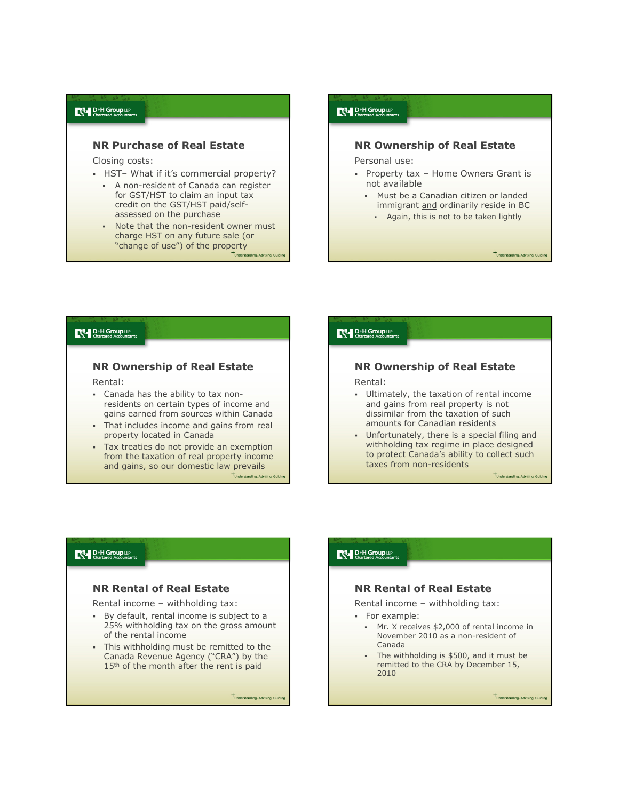#### $R^{\mathsf{N}}$  D<sup>+H</sup> Group LLP

### NR Purchase of Real Estate

Closing costs:

- HST– What if it's commercial property?
	- A non-resident of Canada can register for GST/HST to claim an input tax credit on the GST/HST paid/selfassessed on the purchase
	- Note that the non-resident owner must charge HST on any future sale (or "change of use") of the property

 $R^{\mathsf{U}}$  D<sup>+H</sup> Group LLP

### NR Ownership of Real Estate

Personal use:

- Property tax Home Owners Grant is not available
	- Must be a Canadian citizen or landed immigrant and ordinarily reside in BC
		- Again, this is not to be taken lightly

+<br>Understanding Advising Gu

#### D<sup>+H</sup> Group LLP

### NR Ownership of Real Estate

Rental:

- Canada has the ability to tax nonresidents on certain types of income and gains earned from sources within Canada
- That includes income and gains from real property located in Canada
- Tax treaties do not provide an exemption from the taxation of real property income and gains, so our domestic law prevails

#### **D**<sup>+H</sup> Group LLP

## NR Ownership of Real Estate

Rental:

- Ultimately, the taxation of rental income and gains from real property is not dissimilar from the taxation of such amounts for Canadian residents
- Unfortunately, there is a special filing and withholding tax regime in place designed to protect Canada's ability to collect such taxes from non-residents

### D<sup>+H</sup> Group LLP

### NR Rental of Real Estate

Rental income – withholding tax:

- By default, rental income is subject to a 25% withholding tax on the gross amount of the rental income
- . This withholding must be remitted to the Canada Revenue Agency ("CRA") by the 15<sup>th</sup> of the month after the rent is paid

+<br>Understanding, Advising, Guio

#### $R^{\mathsf{N}}$  D<sup>+</sup>H Group LLP

### NR Rental of Real Estate

Rental income – withholding tax:

- For example:
	- Mr. X receives \$2,000 of rental income in November 2010 as a non-resident of Canada
	- The withholding is \$500, and it must be remitted to the CRA by December 15, 2010

+Understanding, Advising, Gui

 $+$ Understanding, Advising, Guid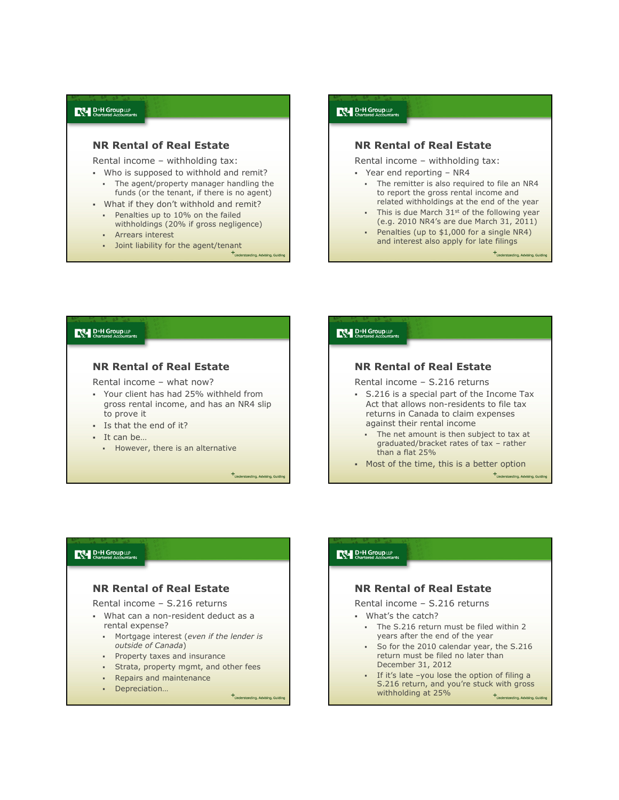#### $R^{\mathsf{N}}$  D<sup>+H</sup> Group LLP

### NR Rental of Real Estate

Rental income – withholding tax:

- Who is supposed to withhold and remit? The agent/property manager handling the
- funds (or the tenant, if there is no agent) What if they don't withhold and remit?
	- Penalties up to 10% on the failed
	- withholdings (20% if gross negligence) Arrears interest
	- Joint liability for the agent/tenant

## $\mathbb{R}$  D<sup>+</sup>H Group LLP<br>Chartered Accountants

#### NR Rental of Real Estate

Rental income – withholding tax:

- Year end reporting NR4
	- The remitter is also required to file an NR4 to report the gross rental income and related withholdings at the end of the year
	- $\blacksquare$  This is due March 31st of the following year (e.g. 2010 NR4's are due March 31, 2011)
	- Penalties (up to  $$1,000$  for a single NR4) and interest also apply for late filings

### D<sup>+H</sup> Group LLP

## NR Rental of Real Estate

Rental income – what now?

- Your client has had 25% withheld from gross rental income, and has an NR4 slip to prove it
- Is that the end of it?
- It can be…
	- **However, there is an alternative**

+Understanding, Advising, Guidir

# **D**<sup>+H</sup> Group LLP

### NR Rental of Real Estate

Rental income – S.216 returns

- S.216 is a special part of the Income Tax Act that allows non-residents to file tax returns in Canada to claim expenses against their rental income
	- The net amount is then subject to tax at graduated/bracket rates of tax – rather than a flat 25%
- Most of the time, this is a better option

 $+$ Understanding, Advising, Guid

#### D<sup>+H</sup> Group LLP

### NR Rental of Real Estate

Rental income – S.216 returns

- What can a non-resident deduct as a rental expense?
	- Mortgage interest (even if the lender is outside of Canada)
	- **•** Property taxes and insurance
	- Strata, property mgmt, and other fees
	- Repairs and maintenance
	- Depreciation…

+<br>Understanding, Advising, Guid

#### $R^{\mathsf{N}}$  D<sup>+</sup>H Group LLP

### NR Rental of Real Estate

Rental income – S.216 returns

- What's the catch?
	- The S.216 return must be filed within 2 years after the end of the year
	- So for the 2010 calendar year, the S.216 return must be filed no later than December 31, 2012
	- If it's late –you lose the option of filing a S.216 return, and you're stuck with gross withholding at 25%+Understanding, Advising, Guidi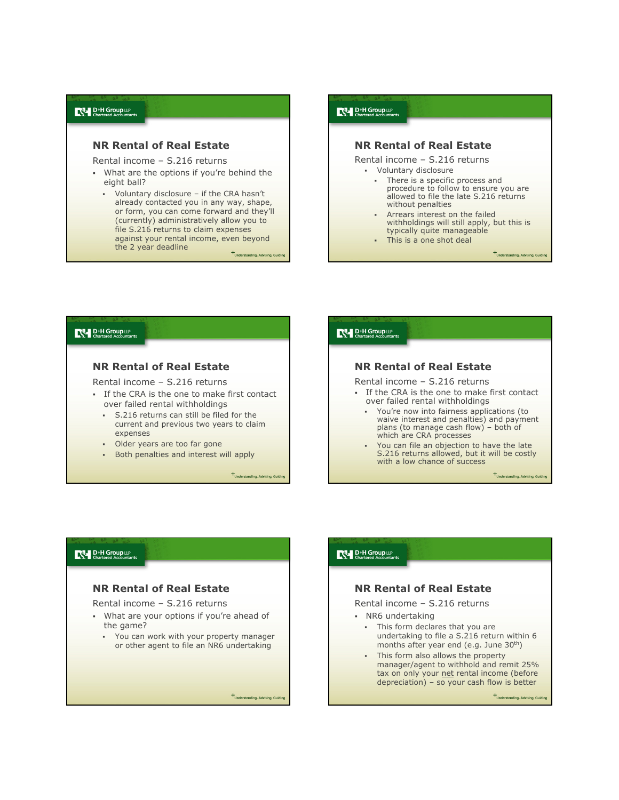### NR Rental of Real Estate

Rental income – S.216 returns

- What are the options if you're behind the eight ball?
	- Voluntary disclosure if the CRA hasn't already contacted you in any way, shape, or form, you can come forward and they'll (currently) administratively allow you to file S.216 returns to claim expenses against your rental income, even beyond the 2 year deadline +<br>Understanding Advising Gr

# $\mathbb{R}$  D<sup>+</sup>H Group LLP<br>Chartered Accountants

#### NR Rental of Real Estate

Rental income – S.216 returns

- Voluntary disclosure
	- There is a specific process and procedure to follow to ensure you are allowed to file the late S.216 returns without penalties
	- Arrears interest on the failed withholdings will still apply, but this is typically quite manageable
	- This is a one shot deal

+Understanding, Advising, Gui

### D<sup>+H</sup> Group LLP

### NR Rental of Real Estate

Rental income – S.216 returns

- If the CRA is the one to make first contact over failed rental withholdings
	- S.216 returns can still be filed for the current and previous two years to claim expenses
	- Older years are too far gone
	- Both penalties and interest will apply

+Understanding, Advising, Guiding

### **D**<sup>+H</sup> Group LLP

### NR Rental of Real Estate

Rental income – S.216 returns

- If the CRA is the one to make first contact over failed rental withholdings
	- You're now into fairness applications (to waive interest and penalties) and payment plans (to manage cash flow) – both of which are CRA processes
	- You can file an objection to have the late S.216 returns allowed, but it will be costly with a low chance of success

 $+$ Understanding, Advising, Guiding

### D<sup>+H</sup> Group LLP

### NR Rental of Real Estate

Rental income – S.216 returns

- What are your options if you're ahead of the game?
	- You can work with your property manager or other agent to file an NR6 undertaking

+<br>Understanding, Advising, Guid

#### $R^{\mathsf{N}}$  D<sup>+</sup>H Group LLP

### NR Rental of Real Estate

Rental income – S.216 returns

- NR6 undertaking
	- This form declares that you are undertaking to file a S.216 return within 6 months after year end (e.g. June 30th)
	- This form also allows the property manager/agent to withhold and remit 25% tax on only your net rental income (before depreciation) – so your cash flow is better

+Understanding, Advising, G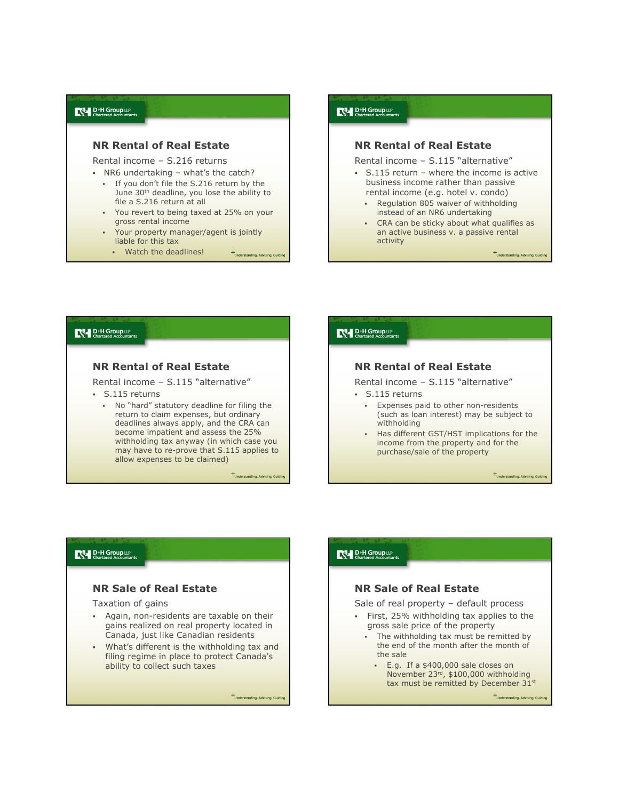### NR Rental of Real Estate

Rental income – S.216 returns

NR6 undertaking – what's the catch?

- If you don't file the S.216 return by the June 30<sup>th</sup> deadline, you lose the ability to file a S.216 return at all
- You revert to being taxed at 25% on your gross rental income
- Your property manager/agent is jointly liable for this tax
	- Watch the deadlines! +<br>Understanding Advising Gu

### $R^{\mathsf{U}}$  D<sup>+H</sup> Group LLP

#### NR Rental of Real Estate

Rental income – S.115 "alternative"

- S.115 return where the income is active business income rather than passive rental income (e.g. hotel v. condo)
	- Regulation 805 waiver of withholding instead of an NR6 undertaking
	- CRA can be sticky about what qualifies as an active business v. a passive rental activity

+<br>Understanding Advising GL

### D<sup>+H</sup> Group LLP

### NR Rental of Real Estate

Rental income – S.115 "alternative"

- S.115 returns
	- No "hard" statutory deadline for filing the return to claim expenses, but ordinary deadlines always apply, and the CRA can become impatient and assess the 25% withholding tax anyway (in which case you may have to re-prove that S.115 applies to allow expenses to be claimed)

 $+$ Understanding, Advising, Guiding

#### **D**<sup>+H</sup> Group LLP

 $R^{\mathsf{N}}$  D<sup>+</sup>H Group LLP

### NR Rental of Real Estate

Rental income – S.115 "alternative" S.115 returns

- - Expenses paid to other non-residents (such as loan interest) may be subject to withholding
	- Has different GST/HST implications for the income from the property and for the purchase/sale of the property

+Understanding, Advising, Guiding

### D<sup>+H</sup> Group LLP

### NR Sale of Real Estate

Taxation of gains

- Again, non-residents are taxable on their gains realized on real property located in Canada, just like Canadian residents
- What's different is the withholding tax and filing regime in place to protect Canada's ability to collect such taxes

+Understanding, Advising, Guidir



- The withholding tax must be remitted by the end of the month after the month of the sale
	- E.g. If a \$400,000 sale closes on November 23rd, \$100,000 withholding tax must be remitted by December 31st

+<br>Understanding Advising G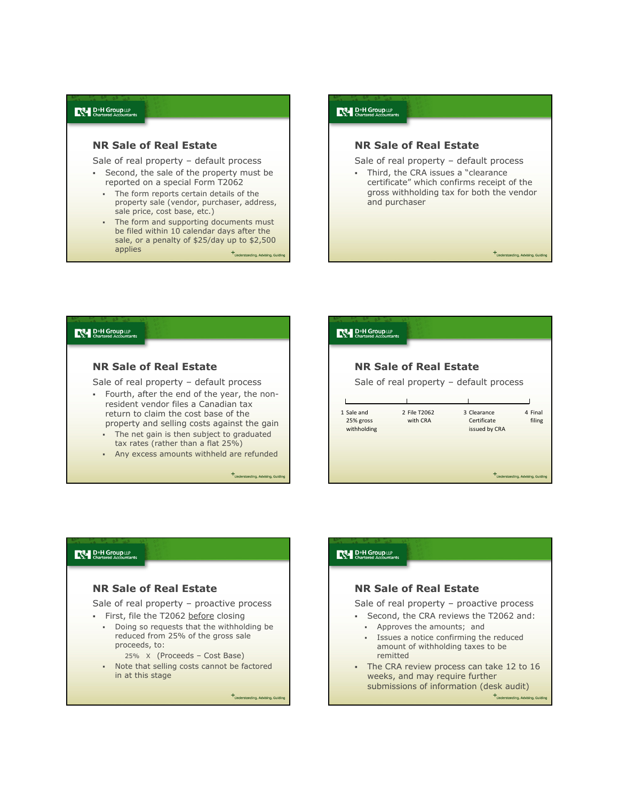#### $R^{\mathsf{N}}$  D<sup>+H</sup> Group LLP

### NR Sale of Real Estate

Sale of real property – default process

- Second, the sale of the property must be reported on a special Form T2062
	- The form reports certain details of the property sale (vendor, purchaser, address, sale price, cost base, etc.)
	- The form and supporting documents must be filed within 10 calendar days after the sale, or a penalty of \$25/day up to \$2,500 applies  $+$ Understanding Advising G

# $\mathbb{R}$  D<sup>+</sup>H Group LLP<br>Chartered Accountants

### NR Sale of Real Estate

Sale of real property – default process

- Third, the CRA issues a "clearance certificate" which confirms receipt of the gross withholding tax for both the vendor and purchaser

 $+$ Understanding, Advising, Guid

#### D<sup>+H</sup> Group LLP

### NR Sale of Real Estate

Sale of real property – default process

- Fourth, after the end of the year, the nonresident vendor files a Canadian tax return to claim the cost base of the property and selling costs against the gain
	- The net gain is then subject to graduated tax rates (rather than a flat 25%)
	- Any excess amounts withheld are refunded

 $+$ Understanding, Advising, Guiding

| <b>D+H Group LLP</b><br>Chartered Accountants |                          |                                             |                                   |
|-----------------------------------------------|--------------------------|---------------------------------------------|-----------------------------------|
| <b>NR Sale of Real Estate</b>                 |                          |                                             |                                   |
|                                               |                          | Sale of real property $-$ default process   |                                   |
|                                               |                          |                                             |                                   |
| 1 Sale and<br>25% gross<br>withholding        | 2 File T2062<br>with CRA | 3 Clearance<br>Certificate<br>issued by CRA | 4 Final<br>filing                 |
|                                               |                          |                                             | +Understanding, Advising, Guiding |

#### D<sup>+H</sup> Group LLP

### NR Sale of Real Estate

Sale of real property – proactive process

- First, file the T2062 before closing
	- Doing so requests that the withholding be reduced from 25% of the gross sale proceeds, to:
		- 25% X (Proceeds Cost Base)
	- Note that selling costs cannot be factored in at this stage

+Understanding, Advising, Guid

# $\mathbb{R}$  D<sup>+H</sup> Group LLP NR Sale of Real Estate Sale of real property – proactive process Second, the CRA reviews the T2062 and: Approves the amounts; and Issues a notice confirming the reduced amount of withholding taxes to be remitted The CRA review process can take 12 to 16 weeks, and may require further submissions of information (desk audit)

+Understanding, Advising, Gui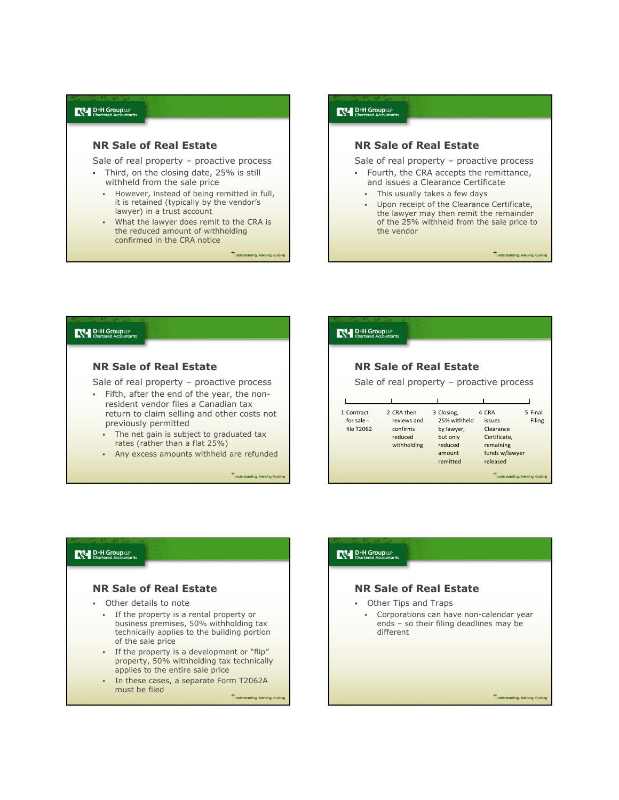### NR Sale of Real Estate

Sale of real property – proactive process

- Third, on the closing date, 25% is still withheld from the sale price
	- However, instead of being remitted in full, it is retained (typically by the vendor's lawyer) in a trust account
	- **What the lawyer does remit to the CRA is** the reduced amount of withholding confirmed in the CRA notice

+<br>Understanding, Advising, Gu

### **D<sup>+H</sup>** Group LLP

### NR Sale of Real Estate

Sale of real property – proactive process

- Fourth, the CRA accepts the remittance, and issues a Clearance Certificate
	- This usually takes a few days
	- **Upon receipt of the Clearance Certificate.** the lawyer may then remit the remainder of the 25% withheld from the sale price to the vendor

 $+$ Understanding, Advising, Guid

#### D<sup>+H</sup> Group LLP

### NR Sale of Real Estate

Sale of real property – proactive process

- Fifth, after the end of the year, the nonresident vendor files a Canadian tax return to claim selling and other costs not previously permitted
	- The net gain is subject to graduated tax rates (rather than a flat 25%)
	- Any excess amounts withheld are refunded

 $+$ Understanding, Advising, Guiding

# **D**<sup>+H</sup> Group LLP NR Sale of Real Estate Sale of real property – proactive process 1 Contract 2 CRA then 3 Closing, 4 CRA 5 Final for sale - reviews and 25% withheld issues Filing file T2062 confirms by lawyer, Clearance reduced but only Certificate,<br>
withholding reduced remaining withholding reduced<br>amount funds w/lawyer remitted released  $+$ Understanding, Advising, Guidi

### D<sup>+H</sup> Group LLP

### NR Sale of Real Estate

- Other details to note
	- If the property is a rental property or business premises, 50% withholding tax technically applies to the building portion of the sale price
	- If the property is a development or "flip" property, 50% withholding tax technically applies to the entire sale price
	- In these cases, a separate Form T2062A must be filed

+Understanding, Advising, Guid